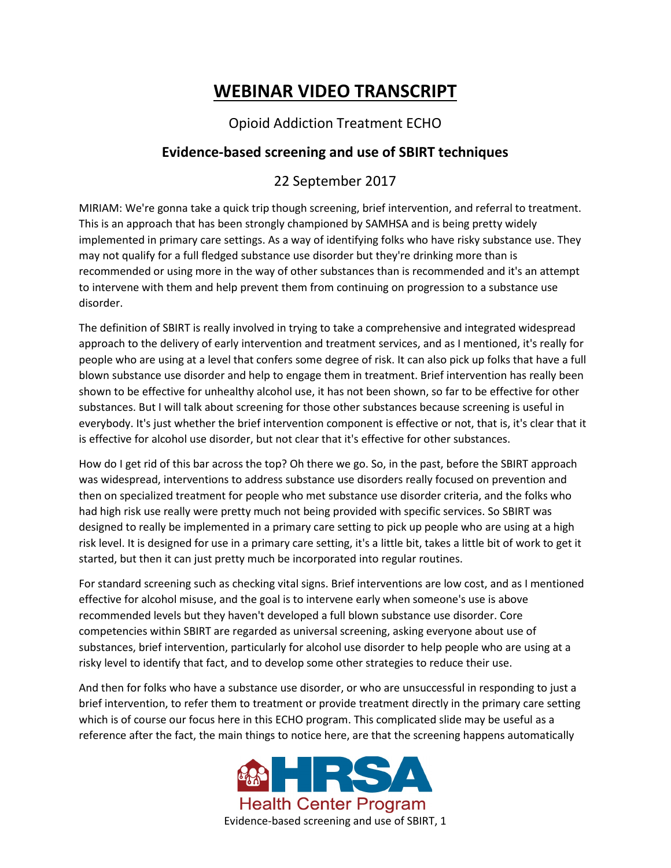## **WEBINAR VIDEO TRANSCRIPT**

## Opioid Addiction Treatment ECHO

## **Evidence-based screening and use of SBIRT techniques**

## 22 September 2017

MIRIAM: We're gonna take a quick trip though screening, brief intervention, and referral to treatment. This is an approach that has been strongly championed by SAMHSA and is being pretty widely implemented in primary care settings. As a way of identifying folks who have risky substance use. They may not qualify for a full fledged substance use disorder but they're drinking more than is recommended or using more in the way of other substances than is recommended and it's an attempt to intervene with them and help prevent them from continuing on progression to a substance use disorder.

The definition of SBIRT is really involved in trying to take a comprehensive and integrated widespread approach to the delivery of early intervention and treatment services, and as I mentioned, it's really for people who are using at a level that confers some degree of risk. It can also pick up folks that have a full blown substance use disorder and help to engage them in treatment. Brief intervention has really been shown to be effective for unhealthy alcohol use, it has not been shown, so far to be effective for other substances. But I will talk about screening for those other substances because screening is useful in everybody. It's just whether the brief intervention component is effective or not, that is, it's clear that it is effective for alcohol use disorder, but not clear that it's effective for other substances.

How do I get rid of this bar across the top? Oh there we go. So, in the past, before the SBIRT approach was widespread, interventions to address substance use disorders really focused on prevention and then on specialized treatment for people who met substance use disorder criteria, and the folks who had high risk use really were pretty much not being provided with specific services. So SBIRT was designed to really be implemented in a primary care setting to pick up people who are using at a high risk level. It is designed for use in a primary care setting, it's a little bit, takes a little bit of work to get it started, but then it can just pretty much be incorporated into regular routines.

For standard screening such as checking vital signs. Brief interventions are low cost, and as I mentioned effective for alcohol misuse, and the goal is to intervene early when someone's use is above recommended levels but they haven't developed a full blown substance use disorder. Core competencies within SBIRT are regarded as universal screening, asking everyone about use of substances, brief intervention, particularly for alcohol use disorder to help people who are using at a risky level to identify that fact, and to develop some other strategies to reduce their use.

And then for folks who have a substance use disorder, or who are unsuccessful in responding to just a brief intervention, to refer them to treatment or provide treatment directly in the primary care setting which is of course our focus here in this ECHO program. This complicated slide may be useful as a reference after the fact, the main things to notice here, are that the screening happens automatically

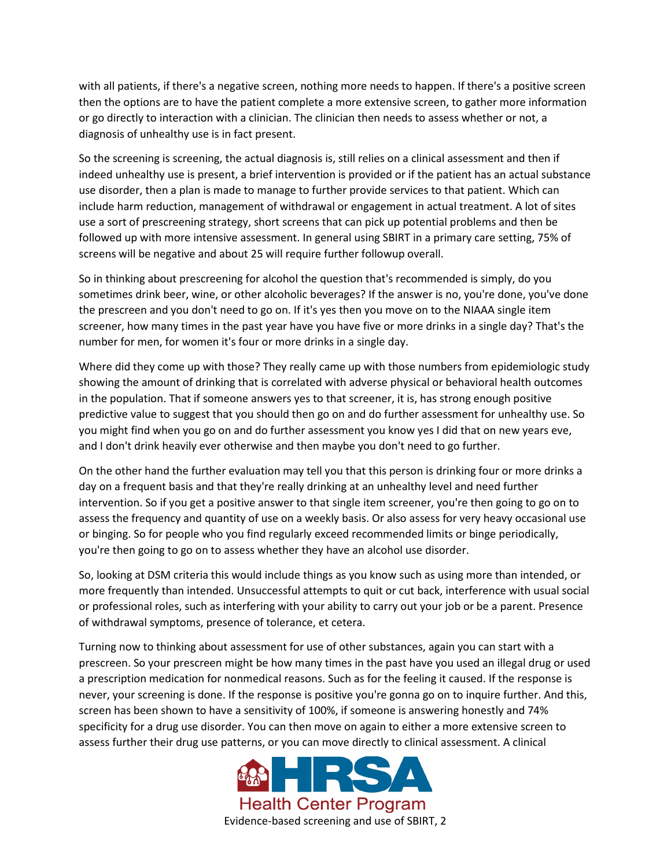with all patients, if there's a negative screen, nothing more needs to happen. If there's a positive screen then the options are to have the patient complete a more extensive screen, to gather more information or go directly to interaction with a clinician. The clinician then needs to assess whether or not, a diagnosis of unhealthy use is in fact present.

So the screening is screening, the actual diagnosis is, still relies on a clinical assessment and then if indeed unhealthy use is present, a brief intervention is provided or if the patient has an actual substance use disorder, then a plan is made to manage to further provide services to that patient. Which can include harm reduction, management of withdrawal or engagement in actual treatment. A lot of sites use a sort of prescreening strategy, short screens that can pick up potential problems and then be followed up with more intensive assessment. In general using SBIRT in a primary care setting, 75% of screens will be negative and about 25 will require further followup overall.

So in thinking about prescreening for alcohol the question that's recommended is simply, do you sometimes drink beer, wine, or other alcoholic beverages? If the answer is no, you're done, you've done the prescreen and you don't need to go on. If it's yes then you move on to the NIAAA single item screener, how many times in the past year have you have five or more drinks in a single day? That's the number for men, for women it's four or more drinks in a single day.

Where did they come up with those? They really came up with those numbers from epidemiologic study showing the amount of drinking that is correlated with adverse physical or behavioral health outcomes in the population. That if someone answers yes to that screener, it is, has strong enough positive predictive value to suggest that you should then go on and do further assessment for unhealthy use. So you might find when you go on and do further assessment you know yes I did that on new years eve, and I don't drink heavily ever otherwise and then maybe you don't need to go further.

On the other hand the further evaluation may tell you that this person is drinking four or more drinks a day on a frequent basis and that they're really drinking at an unhealthy level and need further intervention. So if you get a positive answer to that single item screener, you're then going to go on to assess the frequency and quantity of use on a weekly basis. Or also assess for very heavy occasional use or binging. So for people who you find regularly exceed recommended limits or binge periodically, you're then going to go on to assess whether they have an alcohol use disorder.

So, looking at DSM criteria this would include things as you know such as using more than intended, or more frequently than intended. Unsuccessful attempts to quit or cut back, interference with usual social or professional roles, such as interfering with your ability to carry out your job or be a parent. Presence of withdrawal symptoms, presence of tolerance, et cetera.

Turning now to thinking about assessment for use of other substances, again you can start with a prescreen. So your prescreen might be how many times in the past have you used an illegal drug or used a prescription medication for nonmedical reasons. Such as for the feeling it caused. If the response is never, your screening is done. If the response is positive you're gonna go on to inquire further. And this, screen has been shown to have a sensitivity of 100%, if someone is answering honestly and 74% specificity for a drug use disorder. You can then move on again to either a more extensive screen to assess further their drug use patterns, or you can move directly to clinical assessment. A clinical

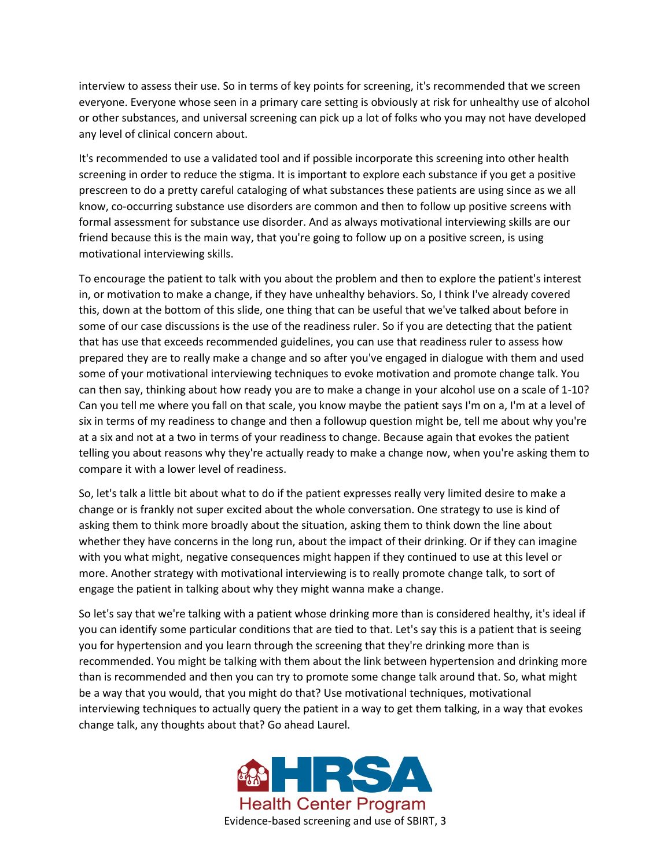interview to assess their use. So in terms of key points for screening, it's recommended that we screen everyone. Everyone whose seen in a primary care setting is obviously at risk for unhealthy use of alcohol or other substances, and universal screening can pick up a lot of folks who you may not have developed any level of clinical concern about.

It's recommended to use a validated tool and if possible incorporate this screening into other health screening in order to reduce the stigma. It is important to explore each substance if you get a positive prescreen to do a pretty careful cataloging of what substances these patients are using since as we all know, co-occurring substance use disorders are common and then to follow up positive screens with formal assessment for substance use disorder. And as always motivational interviewing skills are our friend because this is the main way, that you're going to follow up on a positive screen, is using motivational interviewing skills.

To encourage the patient to talk with you about the problem and then to explore the patient's interest in, or motivation to make a change, if they have unhealthy behaviors. So, I think I've already covered this, down at the bottom of this slide, one thing that can be useful that we've talked about before in some of our case discussions is the use of the readiness ruler. So if you are detecting that the patient that has use that exceeds recommended guidelines, you can use that readiness ruler to assess how prepared they are to really make a change and so after you've engaged in dialogue with them and used some of your motivational interviewing techniques to evoke motivation and promote change talk. You can then say, thinking about how ready you are to make a change in your alcohol use on a scale of 1-10? Can you tell me where you fall on that scale, you know maybe the patient says I'm on a, I'm at a level of six in terms of my readiness to change and then a followup question might be, tell me about why you're at a six and not at a two in terms of your readiness to change. Because again that evokes the patient telling you about reasons why they're actually ready to make a change now, when you're asking them to compare it with a lower level of readiness.

So, let's talk a little bit about what to do if the patient expresses really very limited desire to make a change or is frankly not super excited about the whole conversation. One strategy to use is kind of asking them to think more broadly about the situation, asking them to think down the line about whether they have concerns in the long run, about the impact of their drinking. Or if they can imagine with you what might, negative consequences might happen if they continued to use at this level or more. Another strategy with motivational interviewing is to really promote change talk, to sort of engage the patient in talking about why they might wanna make a change.

So let's say that we're talking with a patient whose drinking more than is considered healthy, it's ideal if you can identify some particular conditions that are tied to that. Let's say this is a patient that is seeing you for hypertension and you learn through the screening that they're drinking more than is recommended. You might be talking with them about the link between hypertension and drinking more than is recommended and then you can try to promote some change talk around that. So, what might be a way that you would, that you might do that? Use motivational techniques, motivational interviewing techniques to actually query the patient in a way to get them talking, in a way that evokes change talk, any thoughts about that? Go ahead Laurel.

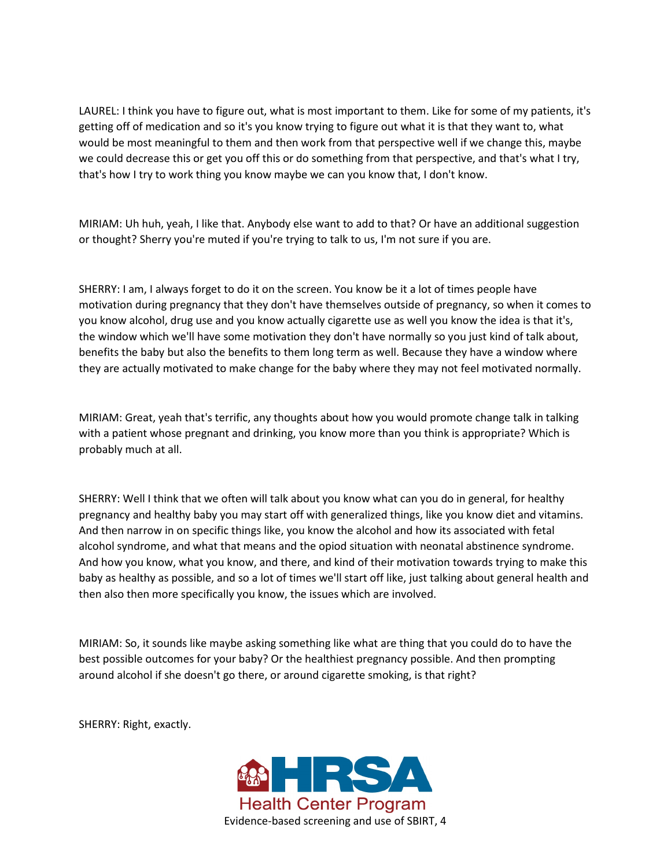LAUREL: I think you have to figure out, what is most important to them. Like for some of my patients, it's getting off of medication and so it's you know trying to figure out what it is that they want to, what would be most meaningful to them and then work from that perspective well if we change this, maybe we could decrease this or get you off this or do something from that perspective, and that's what I try, that's how I try to work thing you know maybe we can you know that, I don't know.

MIRIAM: Uh huh, yeah, I like that. Anybody else want to add to that? Or have an additional suggestion or thought? Sherry you're muted if you're trying to talk to us, I'm not sure if you are.

SHERRY: I am, I always forget to do it on the screen. You know be it a lot of times people have motivation during pregnancy that they don't have themselves outside of pregnancy, so when it comes to you know alcohol, drug use and you know actually cigarette use as well you know the idea is that it's, the window which we'll have some motivation they don't have normally so you just kind of talk about, benefits the baby but also the benefits to them long term as well. Because they have a window where they are actually motivated to make change for the baby where they may not feel motivated normally.

MIRIAM: Great, yeah that's terrific, any thoughts about how you would promote change talk in talking with a patient whose pregnant and drinking, you know more than you think is appropriate? Which is probably much at all.

SHERRY: Well I think that we often will talk about you know what can you do in general, for healthy pregnancy and healthy baby you may start off with generalized things, like you know diet and vitamins. And then narrow in on specific things like, you know the alcohol and how its associated with fetal alcohol syndrome, and what that means and the opiod situation with neonatal abstinence syndrome. And how you know, what you know, and there, and kind of their motivation towards trying to make this baby as healthy as possible, and so a lot of times we'll start off like, just talking about general health and then also then more specifically you know, the issues which are involved.

MIRIAM: So, it sounds like maybe asking something like what are thing that you could do to have the best possible outcomes for your baby? Or the healthiest pregnancy possible. And then prompting around alcohol if she doesn't go there, or around cigarette smoking, is that right?

SHERRY: Right, exactly.

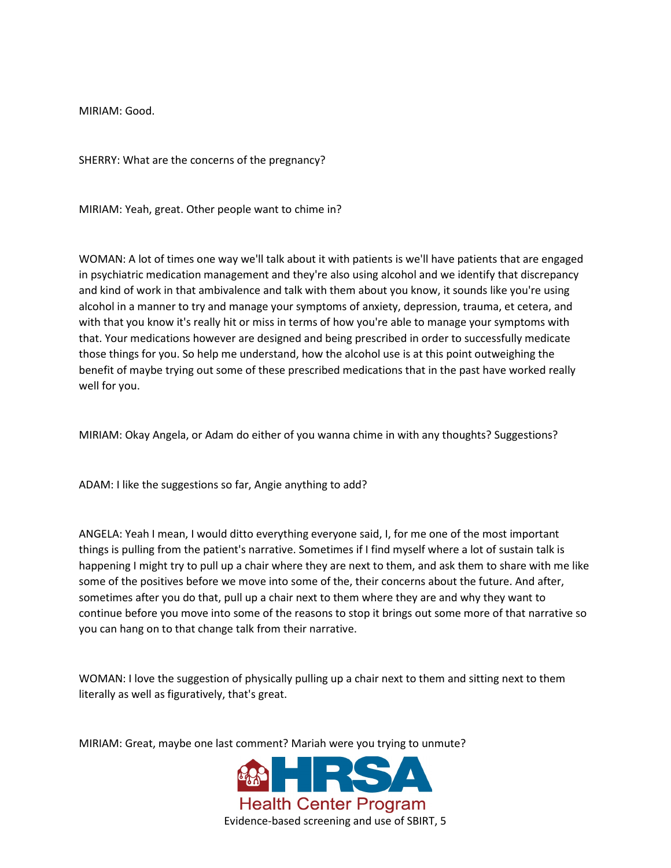MIRIAM: Good.

SHERRY: What are the concerns of the pregnancy?

MIRIAM: Yeah, great. Other people want to chime in?

WOMAN: A lot of times one way we'll talk about it with patients is we'll have patients that are engaged in psychiatric medication management and they're also using alcohol and we identify that discrepancy and kind of work in that ambivalence and talk with them about you know, it sounds like you're using alcohol in a manner to try and manage your symptoms of anxiety, depression, trauma, et cetera, and with that you know it's really hit or miss in terms of how you're able to manage your symptoms with that. Your medications however are designed and being prescribed in order to successfully medicate those things for you. So help me understand, how the alcohol use is at this point outweighing the benefit of maybe trying out some of these prescribed medications that in the past have worked really well for you.

MIRIAM: Okay Angela, or Adam do either of you wanna chime in with any thoughts? Suggestions?

ADAM: I like the suggestions so far, Angie anything to add?

ANGELA: Yeah I mean, I would ditto everything everyone said, I, for me one of the most important things is pulling from the patient's narrative. Sometimes if I find myself where a lot of sustain talk is happening I might try to pull up a chair where they are next to them, and ask them to share with me like some of the positives before we move into some of the, their concerns about the future. And after, sometimes after you do that, pull up a chair next to them where they are and why they want to continue before you move into some of the reasons to stop it brings out some more of that narrative so you can hang on to that change talk from their narrative.

WOMAN: I love the suggestion of physically pulling up a chair next to them and sitting next to them literally as well as figuratively, that's great.

MIRIAM: Great, maybe one last comment? Mariah were you trying to unmute?

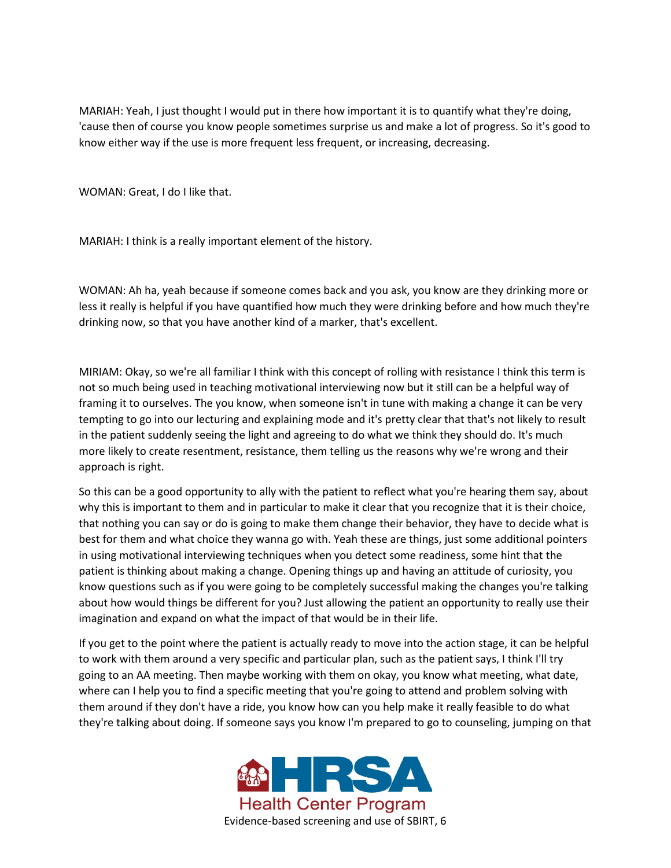MARIAH: Yeah, I just thought I would put in there how important it is to quantify what they're doing, 'cause then of course you know people sometimes surprise us and make a lot of progress. So it's good to know either way if the use is more frequent less frequent, or increasing, decreasing.

WOMAN: Great, I do I like that.

MARIAH: I think is a really important element of the history.

WOMAN: Ah ha, yeah because if someone comes back and you ask, you know are they drinking more or less it really is helpful if you have quantified how much they were drinking before and how much they're drinking now, so that you have another kind of a marker, that's excellent.

MIRIAM: Okay, so we're all familiar I think with this concept of rolling with resistance I think this term is not so much being used in teaching motivational interviewing now but it still can be a helpful way of framing it to ourselves. The you know, when someone isn't in tune with making a change it can be very tempting to go into our lecturing and explaining mode and it's pretty clear that that's not likely to result in the patient suddenly seeing the light and agreeing to do what we think they should do. It's much more likely to create resentment, resistance, them telling us the reasons why we're wrong and their approach is right.

So this can be a good opportunity to ally with the patient to reflect what you're hearing them say, about why this is important to them and in particular to make it clear that you recognize that it is their choice, that nothing you can say or do is going to make them change their behavior, they have to decide what is best for them and what choice they wanna go with. Yeah these are things, just some additional pointers in using motivational interviewing techniques when you detect some readiness, some hint that the patient is thinking about making a change. Opening things up and having an attitude of curiosity, you know questions such as if you were going to be completely successful making the changes you're talking about how would things be different for you? Just allowing the patient an opportunity to really use their imagination and expand on what the impact of that would be in their life.

If you get to the point where the patient is actually ready to move into the action stage, it can be helpful to work with them around a very specific and particular plan, such as the patient says, I think I'll try going to an AA meeting. Then maybe working with them on okay, you know what meeting, what date, where can I help you to find a specific meeting that you're going to attend and problem solving with them around if they don't have a ride, you know how can you help make it really feasible to do what they're talking about doing. If someone says you know I'm prepared to go to counseling, jumping on that